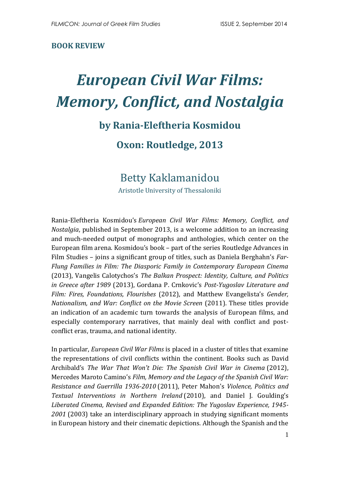#### **BOOK REVIEW**

# *European Civil War Films: Memory, Conflict, and Nostalgia*

### **by Rania-Eleftheria Kosmidou**

#### **Oxon: Routledge, 2013**

## Betty Kaklamanidou

Aristotle University of Thessaloniki

Rania-Eleftheria Kosmidou's *European Civil War Films: Memory, Conflict, and Nostalgia*, published in September 2013, is a welcome addition to an increasing and much-needed output of monographs and anthologies, which center on the European film arena. Kosmidou's book – part of the series Routledge Advances in Film Studies – joins a significant group of titles, such as Daniela Berghahn's *Far-Flung Families in Film: The Diasporic Family in Contemporary European Cinema* (2013), Vangelis Calotychos's *The Balkan Prospect: Identity, Culture, and Politics in Greece after 1989* (2013), Gordana P. Crnkovic's *Post-Yugoslav Literature and Film: Fires, Foundations, Flourishes* (2012), and Matthew Evangelista's *Gender, Nationalism, and War: Conflict on the Movie Screen* (2011). These titles provide an indication of an academic turn towards the analysis of European films, and especially contemporary narratives, that mainly deal with conflict and postconflict eras, trauma, and national identity.

In particular, *European Civil War Films* is placed in a cluster of titles that examine the representations of civil conflicts within the continent. Books such as [David](http://www.amazon.co.uk/David-Archibald/e/B00E9BBAMS/ref=sr_ntt_srch_lnk_16?qid=1394371925&sr=1-16)  [Archibald](http://www.amazon.co.uk/David-Archibald/e/B00E9BBAMS/ref=sr_ntt_srch_lnk_16?qid=1394371925&sr=1-16)'s *[The War That Won't Die: The Spanish Civil War in Cinema](http://www.amazon.co.uk/War-That-Wont-Die-Spanish/dp/0719078083/ref=sr_1_16?s=books&ie=UTF8&qid=1394371925&sr=1-16&keywords=civil+war+and+film)* (2012), Mercedes Maroto Camino's *Film, Memory and the Legacy of the Spanish Civil War: Resistance and Guerrilla 1936-2010* (2011), Peter Mahon's *Violence, Politics and Textual Interventions in Northern Ireland* (2010), and Daniel J. Goulding's *Liberated Cinema, Revised and Expanded Edition: The Yugoslav Experience, 1945- 2001* (2003) take an interdisciplinary approach in studying significant moments in European history and their cinematic depictions. Although the Spanish and the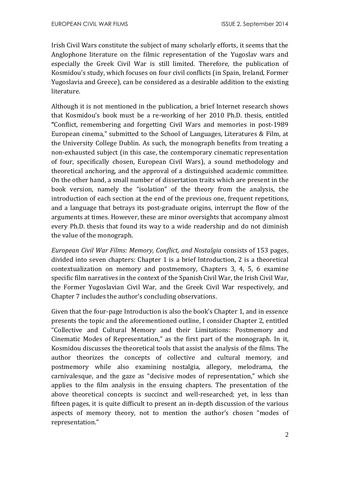Irish Civil Wars constitute the subject of many scholarly efforts, it seems that the Anglophone literature on the filmic representation of the Yugoslav wars and especially the Greek Civil War is still limited. Therefore, the publication of Kosmidou's study, which focuses on four civil conflicts (in Spain, Ireland, Former Yugoslavia and Greece), can be considered as a desirable addition to the existing literature.

Although it is not mentioned in the publication, a brief Ιnternet research shows that Kosmidou's book must be a re-working of her 2010 Ph.D. thesis, entitled **"**Conflict, remembering and forgetting Civil Wars and memories in post-1989 European cinema," submitted to the School of Languages, Literatures & Film, at the University College Dublin. As such, the monograph benefits from treating a non-exhausted subject (in this case, the contemporary cinematic representation of four, specifically chosen, European Civil Wars), a sound methodology and theoretical anchoring, and the approval of a distinguished academic committee. On the other hand, a small number of dissertation traits which are present in the book version, namely the "isolation" of the theory from the analysis, the introduction of each section at the end of the previous one, frequent repetitions, and a language that betrays its post-graduate origins, interrupt the flow of the arguments at times. However, these are minor oversights that accompany almost every Ph.D. thesis that found its way to a wide readership and do not diminish the value of the monograph.

*European Civil War Films: Memory, Conflict, and Nostalgia* consists of 153 pages, divided into seven chapters: Chapter 1 is a brief Introduction, 2 is a theoretical contextualization on memory and postmemory, Chapters 3, 4, 5, 6 examine specific film narratives in the context of the Spanish Civil War, the Irish Civil War, the Former Yugoslavian Civil War, and the Greek Civil War respectively, and Chapter 7 includes the author's concluding observations.

Given that the four-page Introduction is also the book's Chapter 1, and in essence presents the topic and the aforementioned outline, I consider Chapter 2, entitled "Collective and Cultural Memory and their Limitations: Postmemory and Cinematic Modes of Representation," as the first part of the monograph. In it, Kosmidou discusses the theoretical tools that assist the analysis of the films. The author theorizes the concepts of collective and cultural memory, and postmemory while also examining nostalgia, allegory, melodrama, the carnivalesque, and the gaze as "decisive modes of representation," which she applies to the film analysis in the ensuing chapters. The presentation of the above theoretical concepts is succinct and well-researched; yet, in less than fifteen pages, it is quite difficult to present an in-depth discussion of the various aspects of memory theory, not to mention the author's chosen "modes of representation."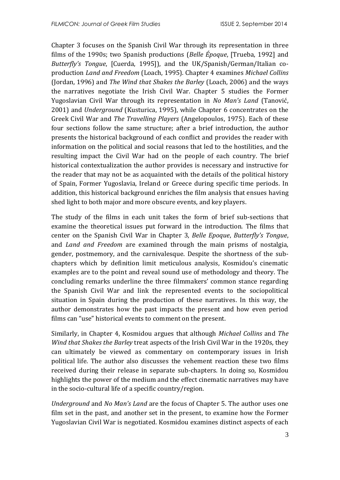Chapter 3 focuses on the Spanish Civil War through its representation in three films of the 1990s; two Spanish productions (*Belle Époque*, [Trueba, 1992] and *Butterfly's Tongue*, [Cuerda, 1995]), and the UK/Spanish/German/Italian coproduction *Land and Freedom* (Loach, 1995). Chapter 4 examines *Michael Collins*  (Jordan, 1996) and *The Wind that Shakes the Barley* (Loach, 2006) and the ways the narratives negotiate the Irish Civil War. Chapter 5 studies the Former Yugoslavian Civil War through its representation in *No Man's Land* ([Tanović](http://en.wikipedia.org/wiki/Danis_Tanovi%C4%87), 2001) and *Underground* [\(Kusturica,](http://en.wikipedia.org/wiki/Emir_Kusturica) 1995), while Chapter 6 concentrates on the Greek Civil War and *The Travelling Players* (Angelopoulos, 1975). Each of these four sections follow the same structure; after a brief introduction, the author presents the historical background of each conflict and provides the reader with information on the political and social reasons that led to the hostilities, and the resulting impact the Civil War had on the people of each country. The brief historical contextualization the author provides is necessary and instructive for the reader that may not be as acquainted with the details of the political history of Spain, Former Yugoslavia, Ireland or Greece during specific time periods. In addition, this historical background enriches the film analysis that ensues having shed light to both major and more obscure events, and key players.

The study of the films in each unit takes the form of brief sub-sections that examine the theoretical issues put forward in the introduction. The films that center on the Spanish Civil War in Chapter 3, *Belle Epoque*, *Butterfly's Tongue*, and *Land and Freedom* are examined through the main prisms of nostalgia, gender, postmemory, and the carnivalesque. Despite the shortness of the subchapters which by definition limit meticulous analysis, Kosmidou's cinematic examples are to the point and reveal sound use of methodology and theory. The concluding remarks underline the three filmmakers' common stance regarding the Spanish Civil War and link the represented events to the sociopolitical situation in Spain during the production of these narratives. In this way, the author demonstrates how the past impacts the present and how even period films can "use" historical events to comment on the present.

Similarly, in Chapter 4, Kosmidou argues that although *Michael Collins* and *The Wind that Shakes the Barley* treat aspects of the Irish Civil War in the 1920s, they can ultimately be viewed as commentary on contemporary issues in Irish political life. The author also discusses the vehement reaction these two films received during their release in separate sub-chapters. In doing so, Kosmidou highlights the power of the medium and the effect cinematic narratives may have in the socio-cultural life of a specific country/region.

*Underground* and *No Man's Land* are the focus of Chapter 5. The author uses one film set in the past, and another set in the present, to examine how the Former Yugoslavian Civil War is negotiated. Kosmidou examines distinct aspects of each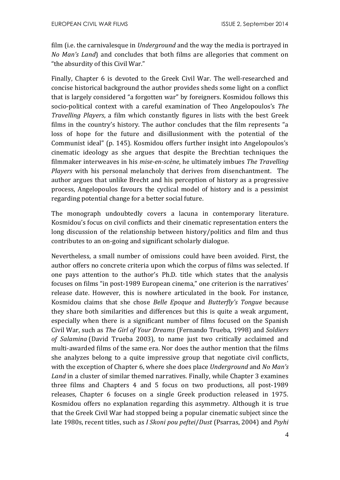film (i.e. the carnivalesque in *Underground* and the way the media is portrayed in *No Man's Land*) and concludes that both films are allegories that comment on "the absurdity of this Civil War."

Finally, Chapter 6 is devoted to the Greek Civil War. The well-researched and concise historical background the author provides sheds some light on a conflict that is largely considered "a forgotten war" by foreigners. Kosmidou follows this socio-political context with a careful examination of Theo Angelopoulos's *The Travelling Players*, a film which constantly figures in lists with the best Greek films in the country's history. The author concludes that the film represents "a loss of hope for the future and disillusionment with the potential of the Communist ideal" (p. 145). Kosmidou offers further insight into Angelopoulos's cinematic ideology as she argues that despite the Brechtian techniques the filmmaker interweaves in his *mise-en-scène*, he ultimately imbues *The Travelling Players* with his personal melancholy that derives from disenchantment. The author argues that unlike Brecht and his perception of history as a progressive process, Angelopoulos favours the cyclical model of history and is a pessimist regarding potential change for a better social future.

The monograph undoubtedly covers a lacuna in contemporary literature. Kosmidou's focus on civil conflicts and their cinematic representation enters the long discussion of the relationship between history/politics and film and thus contributes to an on-going and significant scholarly dialogue.

Nevertheless, a small number of omissions could have been avoided. First, the author offers no concrete criteria upon which the corpus of films was selected. If one pays attention to the author's Ph.D. title which states that the analysis focuses on films "in post-1989 European cinema," one criterion is the narratives' release date. However, this is nowhere articulated in the book. For instance, Kosmidou claims that she chose *Belle Epoque* and *Butterfly's Tongue* because they share both similarities and differences but this is quite a weak argument, especially when there is a significant number of films focused on the Spanish Civil War, such as *The Girl of Your Dreams* (Fernando Trueba, 1998) and *Soldiers of Salamina* (David Trueba [2003\)](http://www.imdb.com/year/2003/?ref_=tt_ov_inf), to name just two critically acclaimed and multi-awarded films of the same era. Nor does the author mention that the films she analyzes belong to a quite impressive group that negotiate civil conflicts, with the exception of Chapter 6, where she does place *Underground* and *No Man's Land* in a cluster of similar themed narratives. Finally, while Chapter 3 examines three films and Chapters 4 and 5 focus on two productions, all post-1989 releases, Chapter 6 focuses on a single Greek production released in 1975. Kosmidou offers no explanation regarding this asymmetry. Although it is true that the Greek Civil War had stopped being a popular cinematic subject since the late 1980s, recent titles, such as *I Skoni pou peftei*/*Dust* (Psarras, 2004) and *Psyhi*